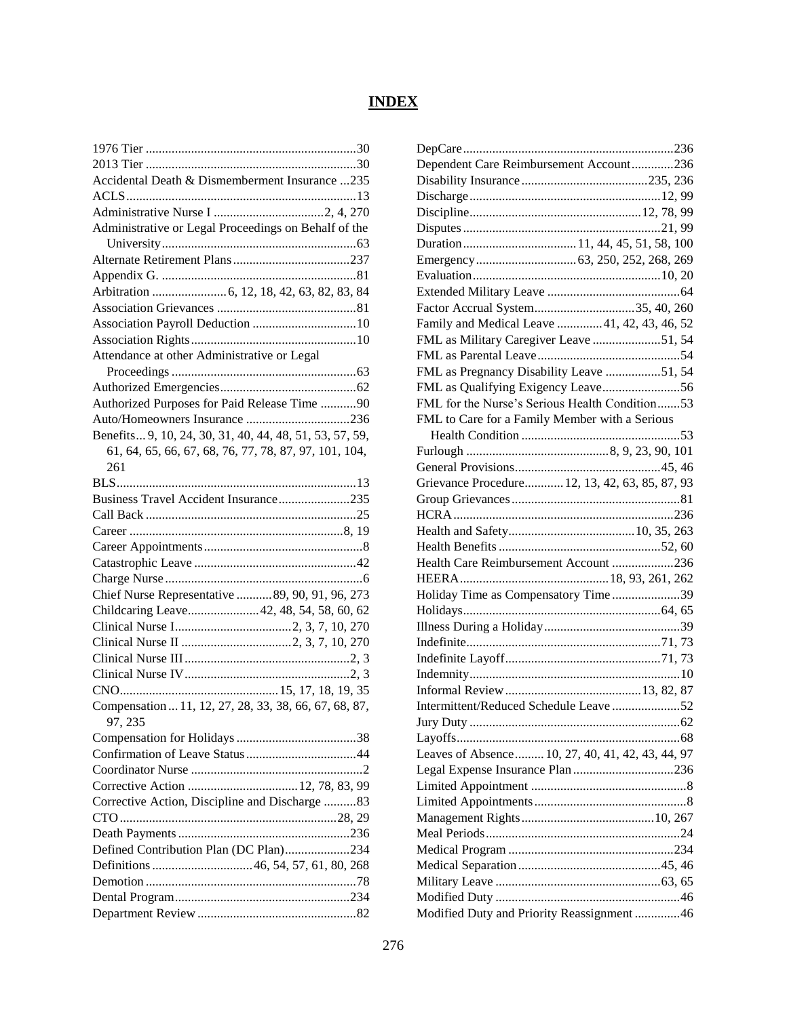## **INDEX**

| Accidental Death & Dismemberment Insurance 235          |
|---------------------------------------------------------|
|                                                         |
|                                                         |
| Administrative or Legal Proceedings on Behalf of the    |
|                                                         |
|                                                         |
|                                                         |
|                                                         |
|                                                         |
|                                                         |
|                                                         |
| Attendance at other Administrative or Legal             |
|                                                         |
|                                                         |
| Authorized Purposes for Paid Release Time 90            |
| Auto/Homeowners Insurance 236                           |
| Benefits 9, 10, 24, 30, 31, 40, 44, 48, 51, 53, 57, 59, |
| 61, 64, 65, 66, 67, 68, 76, 77, 78, 87, 97, 101, 104,   |
| 261                                                     |
|                                                         |
| Business Travel Accident Insurance235                   |
|                                                         |
|                                                         |
|                                                         |
|                                                         |
|                                                         |
| Chief Nurse Representative 89, 90, 91, 96, 273          |
| Childcaring Leave 42, 48, 54, 58, 60, 62                |
|                                                         |
|                                                         |
|                                                         |
|                                                         |
|                                                         |
| Compensation  11, 12, 27, 28, 33, 38, 66, 67, 68, 87,   |
| 97, 235                                                 |
|                                                         |
|                                                         |
|                                                         |
|                                                         |
| Corrective Action, Discipline and Discharge 83          |
|                                                         |
|                                                         |
| Defined Contribution Plan (DC Plan)234                  |
|                                                         |
|                                                         |
|                                                         |
|                                                         |

| Dependent Care Reimbursement Account236          |
|--------------------------------------------------|
|                                                  |
|                                                  |
|                                                  |
|                                                  |
|                                                  |
|                                                  |
|                                                  |
|                                                  |
| Factor Accrual System35, 40, 260                 |
| Family and Medical Leave 41, 42, 43, 46, 52      |
| FML as Military Caregiver Leave 51, 54           |
|                                                  |
| FML as Pregnancy Disability Leave 51, 54         |
|                                                  |
| FML for the Nurse's Serious Health Condition53   |
| FML to Care for a Family Member with a Serious   |
|                                                  |
|                                                  |
|                                                  |
| Grievance Procedure 12, 13, 42, 63, 85, 87, 93   |
|                                                  |
|                                                  |
|                                                  |
|                                                  |
| Health Care Reimbursement Account 236            |
|                                                  |
|                                                  |
| Holiday Time as Compensatory Time39              |
|                                                  |
|                                                  |
|                                                  |
|                                                  |
|                                                  |
|                                                  |
| Intermittent/Reduced Schedule Leave52            |
|                                                  |
|                                                  |
| Leaves of Absence 10, 27, 40, 41, 42, 43, 44, 97 |
| Legal Expense Insurance Plan 236                 |
|                                                  |
|                                                  |
|                                                  |
|                                                  |
|                                                  |
|                                                  |
|                                                  |
|                                                  |
| Modified Duty and Priority Reassignment46        |
|                                                  |